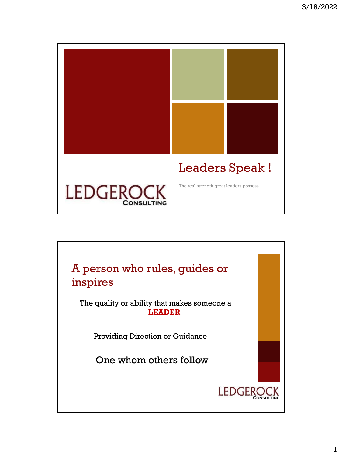

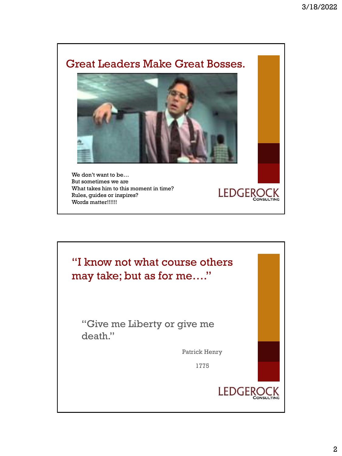## Great Leaders Make Great Bosses.



LEDGEROCK

We don't want to be… But sometimes we are What takes him to this moment in time? Rules, guides or inspires? Words matter!!!!!!

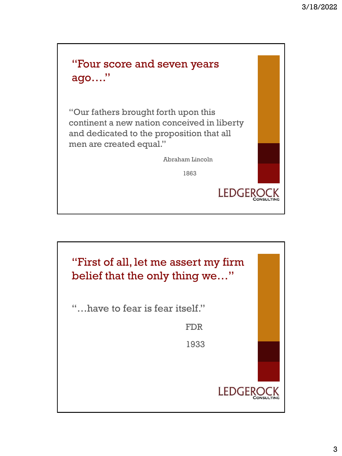

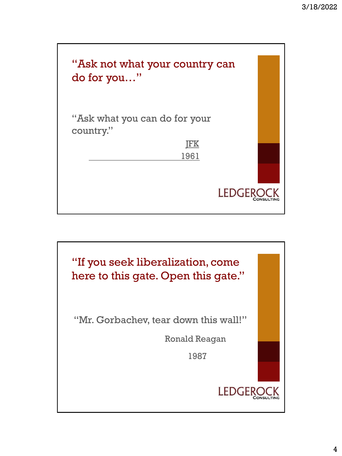

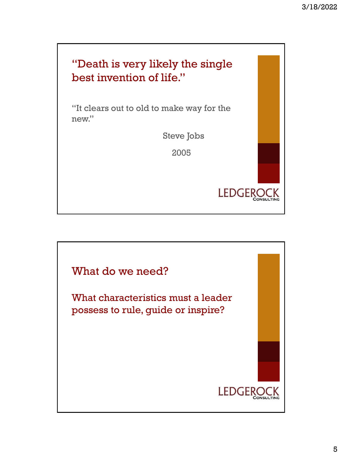

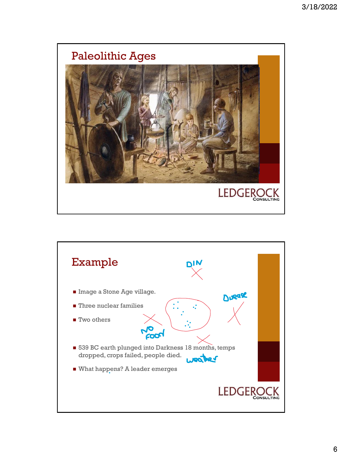

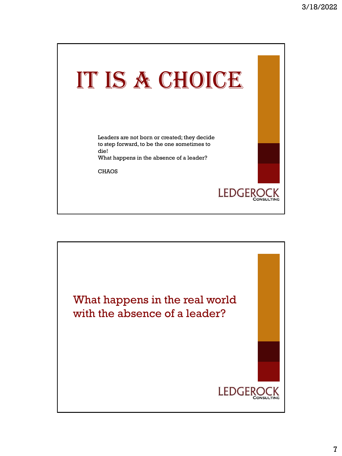

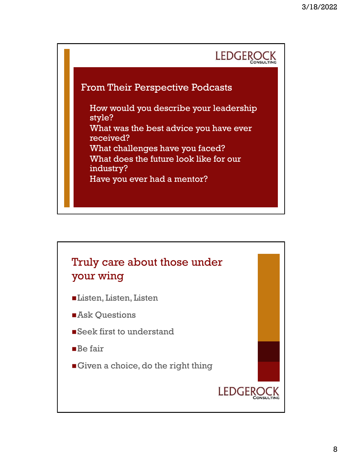

## From Their Perspective Podcasts

• How would you describe your leadership style? What was the best advice you have ever received? • What challenges have you faced? What does the future look like for our industry? Have you ever had a mentor?

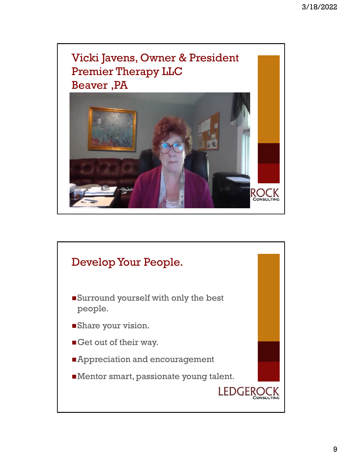

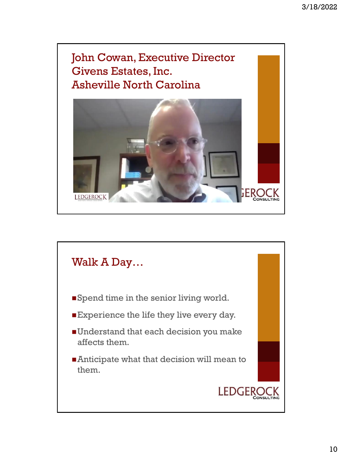John Cowan, Executive Director Givens Estates, Inc. Asheville North Carolina



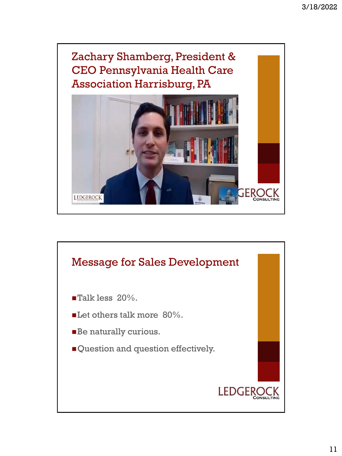

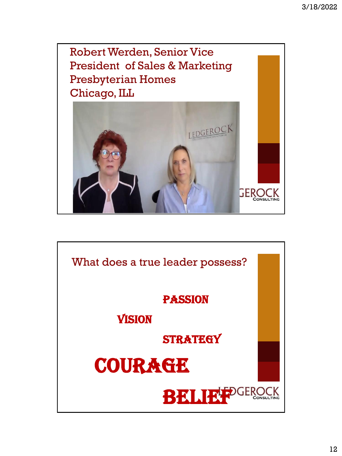

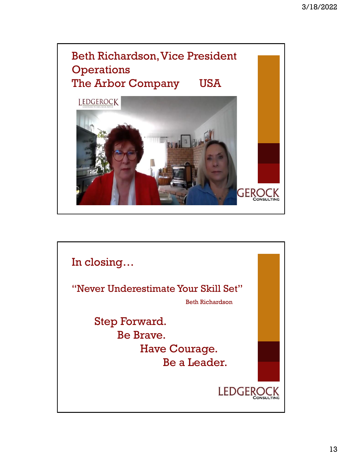